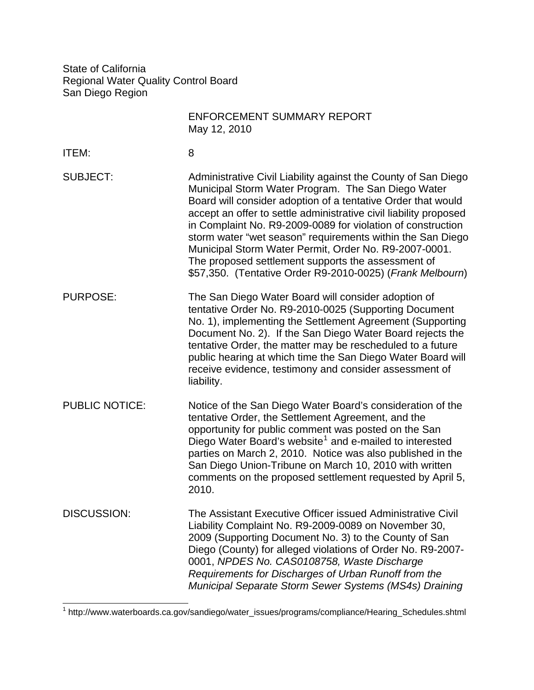State of California Regional Water Quality Control Board San Diego Region

|                       | <b>ENFORCEMENT SUMMARY REPORT</b><br>May 12, 2010                                                                                                                                                                                                                                                                                                                                                                                                                                                                                                                  |
|-----------------------|--------------------------------------------------------------------------------------------------------------------------------------------------------------------------------------------------------------------------------------------------------------------------------------------------------------------------------------------------------------------------------------------------------------------------------------------------------------------------------------------------------------------------------------------------------------------|
| <b>ITEM:</b>          | 8                                                                                                                                                                                                                                                                                                                                                                                                                                                                                                                                                                  |
| <b>SUBJECT:</b>       | Administrative Civil Liability against the County of San Diego<br>Municipal Storm Water Program. The San Diego Water<br>Board will consider adoption of a tentative Order that would<br>accept an offer to settle administrative civil liability proposed<br>in Complaint No. R9-2009-0089 for violation of construction<br>storm water "wet season" requirements within the San Diego<br>Municipal Storm Water Permit, Order No. R9-2007-0001.<br>The proposed settlement supports the assessment of<br>\$57,350. (Tentative Order R9-2010-0025) (Frank Melbourn) |
| <b>PURPOSE:</b>       | The San Diego Water Board will consider adoption of<br>tentative Order No. R9-2010-0025 (Supporting Document<br>No. 1), implementing the Settlement Agreement (Supporting<br>Document No. 2). If the San Diego Water Board rejects the<br>tentative Order, the matter may be rescheduled to a future<br>public hearing at which time the San Diego Water Board will<br>receive evidence, testimony and consider assessment of<br>liability.                                                                                                                        |
| <b>PUBLIC NOTICE:</b> | Notice of the San Diego Water Board's consideration of the<br>tentative Order, the Settlement Agreement, and the<br>opportunity for public comment was posted on the San<br>Diego Water Board's website <sup>1</sup> and e-mailed to interested<br>parties on March 2, 2010. Notice was also published in the<br>San Diego Union-Tribune on March 10, 2010 with written<br>comments on the proposed settlement requested by April 5,<br>2010.                                                                                                                      |
| <b>DISCUSSION:</b>    | The Assistant Executive Officer issued Administrative Civil<br>Liability Complaint No. R9-2009-0089 on November 30,<br>2009 (Supporting Document No. 3) to the County of San<br>Diego (County) for alleged violations of Order No. R9-2007-<br>0001, NPDES No. CAS0108758, Waste Discharge<br>Requirements for Discharges of Urban Runoff from the<br>Municipal Separate Storm Sewer Systems (MS4s) Draining                                                                                                                                                       |

<span id="page-0-0"></span>1 http://www.waterboards.ca.gov/sandiego/water\_issues/programs/compliance/Hearing\_Schedules.shtml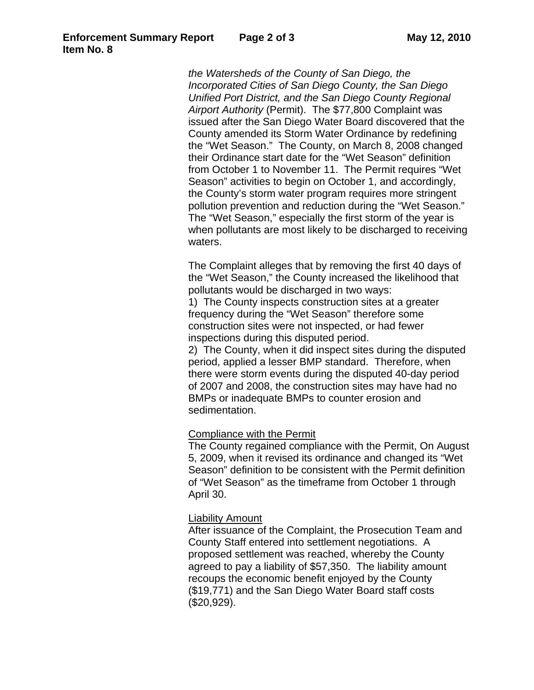*the Watersheds of the County of San Diego, the Incorporated Cities of San Diego County, the San Diego Unified Port District, and the San Diego County Regional Airport Authority* (Permit). The \$77,800 Complaint was issued after the San Diego Water Board discovered that the County amended its Storm Water Ordinance by redefining the "Wet Season." The County, on March 8, 2008 changed their Ordinance start date for the "Wet Season" definition from October 1 to November 11. The Permit requires "Wet Season" activities to begin on October 1, and accordingly, the County's storm water program requires more stringent pollution prevention and reduction during the "Wet Season." The "Wet Season," especially the first storm of the year is when pollutants are most likely to be discharged to receiving waters.

The Complaint alleges that by removing the first 40 days of the "Wet Season," the County increased the likelihood that pollutants would be discharged in two ways:

1) The County inspects construction sites at a greater frequency during the "Wet Season" therefore some construction sites were not inspected, or had fewer inspections during this disputed period.

2) The County, when it did inspect sites during the disputed period, applied a lesser BMP standard. Therefore, when there were storm events during the disputed 40-day period of 2007 and 2008, the construction sites may have had no BMPs or inadequate BMPs to counter erosion and sedimentation.

## Compliance with the Permit

The County regained compliance with the Permit, On August 5, 2009, when it revised its ordinance and changed its "Wet Season" definition to be consistent with the Permit definition of "Wet Season" as the timeframe from October 1 through April 30.

## Liability Amount

After issuance of the Complaint, the Prosecution Team and County Staff entered into settlement negotiations. A proposed settlement was reached, whereby the County agreed to pay a liability of \$57,350. The liability amount recoups the economic benefit enjoyed by the County (\$19,771) and the San Diego Water Board staff costs (\$20,929).